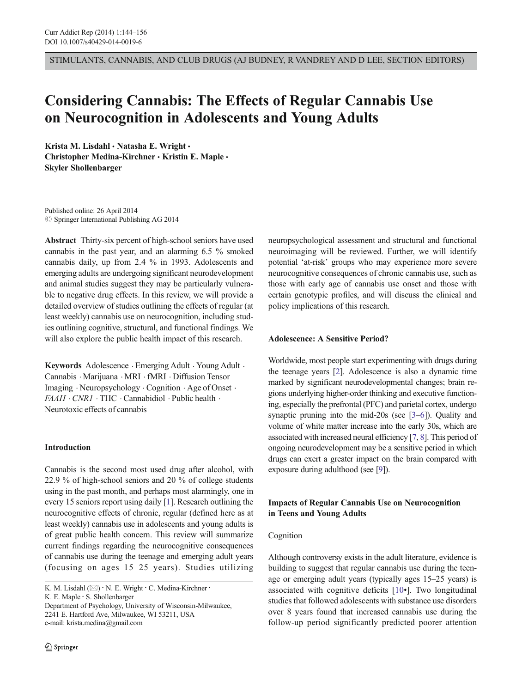STIMULANTS, CANNABIS, AND CLUB DRUGS (AJ BUDNEY, R VANDREY AND D LEE, SECTION EDITORS)

# Considering Cannabis: The Effects of Regular Cannabis Use on Neurocognition in Adolescents and Young Adults

Krista M. Lisdahl · Natasha E. Wright · Christopher Medina-Kirchner • Kristin E. Maple • Skyler Shollenbarger

Published online: 26 April 2014  $\oslash$  Springer International Publishing AG 2014

Abstract Thirty-six percent of high-school seniors have used cannabis in the past year, and an alarming 6.5 % smoked cannabis daily, up from 2.4 % in 1993. Adolescents and emerging adults are undergoing significant neurodevelopment and animal studies suggest they may be particularly vulnerable to negative drug effects. In this review, we will provide a detailed overview of studies outlining the effects of regular (at least weekly) cannabis use on neurocognition, including studies outlining cognitive, structural, and functional findings. We will also explore the public health impact of this research.

Keywords Adolescence . Emerging Adult . Young Adult . Cannabis . Marijuana . MRI . fMRI . Diffusion Tensor Imaging . Neuropsychology . Cognition . Age of Onset .  $FAAH \cdot CNRI \cdot THC \cdot \text{Cannabidiol} \cdot \text{Public health} \cdot$ Neurotoxic effects of cannabis

## Introduction

Cannabis is the second most used drug after alcohol, with 22.9 % of high-school seniors and 20 % of college students using in the past month, and perhaps most alarmingly, one in every 15 seniors report using daily [[1\]](#page-8-0). Research outlining the neurocognitive effects of chronic, regular (defined here as at least weekly) cannabis use in adolescents and young adults is of great public health concern. This review will summarize current findings regarding the neurocognitive consequences of cannabis use during the teenage and emerging adult years (focusing on ages 15–25 years). Studies utilizing

K. E. Maple : S. Shollenbarger

Department of Psychology, University of Wisconsin-Milwaukee, 2241 E. Hartford Ave, Milwaukee, WI 53211, USA e-mail: krista.medina@gmail.com

neuropsychological assessment and structural and functional neuroimaging will be reviewed. Further, we will identify potential 'at-risk' groups who may experience more severe neurocognitive consequences of chronic cannabis use, such as those with early age of cannabis use onset and those with certain genotypic profiles, and will discuss the clinical and policy implications of this research.

## Adolescence: A Sensitive Period?

Worldwide, most people start experimenting with drugs during the teenage years [\[2\]](#page-8-0). Adolescence is also a dynamic time marked by significant neurodevelopmental changes; brain regions underlying higher-order thinking and executive functioning, especially the prefrontal (PFC) and parietal cortex, undergo synaptic pruning into the mid-20s (see [[3](#page-8-0)–[6](#page-8-0)]). Quality and volume of white matter increase into the early 30s, which are associated with increased neural efficiency [\[7](#page-8-0), [8](#page-8-0)]. This period of ongoing neurodevelopment may be a sensitive period in which drugs can exert a greater impact on the brain compared with exposure during adulthood (see [\[9\]](#page-8-0)).

# Impacts of Regular Cannabis Use on Neurocognition in Teens and Young Adults

## Cognition

Although controversy exists in the adult literature, evidence is building to suggest that regular cannabis use during the teenage or emerging adult years (typically ages 15–25 years) is associated with cognitive deficits [[10](#page-8-0)•]. Two longitudinal studies that followed adolescents with substance use disorders over 8 years found that increased cannabis use during the follow-up period significantly predicted poorer attention

K. M. Lisdahl ( $\boxtimes$ ) · N. E. Wright · C. Medina-Kirchner ·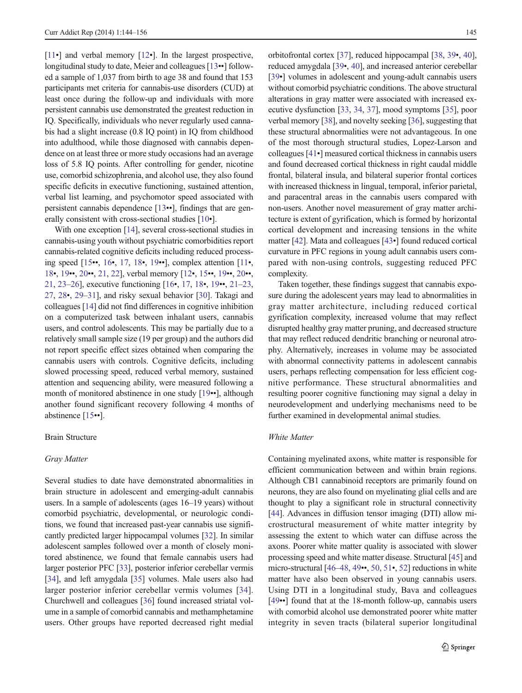[\[11](#page-8-0)•] and verbal memory [[12](#page-8-0)•]. In the largest prospective, longitudinal study to date, Meier and colleagues [\[13](#page-8-0)••] followed a sample of 1,037 from birth to age 38 and found that 153 participants met criteria for cannabis-use disorders (CUD) at least once during the follow-up and individuals with more persistent cannabis use demonstrated the greatest reduction in IQ. Specifically, individuals who never regularly used cannabis had a slight increase (0.8 IQ point) in IQ from childhood into adulthood, while those diagnosed with cannabis dependence on at least three or more study occasions had an average loss of 5.8 IQ points. After controlling for gender, nicotine use, comorbid schizophrenia, and alcohol use, they also found specific deficits in executive functioning, sustained attention, verbal list learning, and psychomotor speed associated with persistent cannabis dependence [[13](#page-8-0)••], findings that are generally consistent with cross-sectional studies [[10](#page-8-0)•].

With one exception [\[14](#page-8-0)], several cross-sectional studies in cannabis-using youth without psychiatric comorbidities report cannabis-related cognitive deficits including reduced processing speed [[15](#page-8-0)••, [16](#page-8-0)•, [17,](#page-8-0) [18](#page-9-0)•, [19](#page-9-0)••], complex attention [[11](#page-8-0)•, [18](#page-9-0)•, [19](#page-9-0)••, [20](#page-9-0)••, [21,](#page-9-0) [22](#page-9-0)], verbal memory [\[12](#page-8-0)•, [15](#page-8-0)••, [19](#page-9-0)••, [20](#page-9-0)••, [21,](#page-9-0) [23](#page-9-0)–[26](#page-9-0)], executive functioning [\[16](#page-8-0)•, [17](#page-8-0), [18](#page-9-0)•, [19](#page-9-0)••, [21](#page-9-0)–[23,](#page-9-0) [27,](#page-9-0) [28](#page-9-0)•, [29](#page-9-0)–[31\]](#page-9-0), and risky sexual behavior [[30\]](#page-9-0). Takagi and colleagues [\[14\]](#page-8-0) did not find differences in cognitive inhibition on a computerized task between inhalant users, cannabis users, and control adolescents. This may be partially due to a relatively small sample size (19 per group) and the authors did not report specific effect sizes obtained when comparing the cannabis users with controls. Cognitive deficits, including slowed processing speed, reduced verbal memory, sustained attention and sequencing ability, were measured following a month of monitored abstinence in one study [\[19](#page-9-0)••], although another found significant recovery following 4 months of abstinence [[15](#page-8-0)••].

## Brain Structure

#### Gray Matter

Several studies to date have demonstrated abnormalities in brain structure in adolescent and emerging-adult cannabis users. In a sample of adolescents (ages 16–19 years) without comorbid psychiatric, developmental, or neurologic conditions, we found that increased past-year cannabis use significantly predicted larger hippocampal volumes [\[32](#page-9-0)]. In similar adolescent samples followed over a month of closely monitored abstinence, we found that female cannabis users had larger posterior PFC [\[33\]](#page-9-0), posterior inferior cerebellar vermis [\[34\]](#page-9-0), and left amygdala [\[35](#page-9-0)] volumes. Male users also had larger posterior inferior cerebellar vermis volumes [[34](#page-9-0)]. Churchwell and colleagues [\[36](#page-9-0)] found increased striatal volume in a sample of comorbid cannabis and methamphetamine users. Other groups have reported decreased right medial orbitofrontal cortex [[37](#page-9-0)], reduced hippocampal [\[38](#page-9-0), [39](#page-9-0)•, [40\]](#page-9-0), reduced amygdala [[39](#page-9-0)•, [40\]](#page-9-0), and increased anterior cerebellar [\[39](#page-9-0)•] volumes in adolescent and young-adult cannabis users without comorbid psychiatric conditions. The above structural alterations in gray matter were associated with increased executive dysfunction [[33](#page-9-0), [34](#page-9-0), [37\]](#page-9-0), mood symptoms [\[35\]](#page-9-0), poor verbal memory [[38\]](#page-9-0), and novelty seeking [\[36\]](#page-9-0), suggesting that these structural abnormalities were not advantageous. In one of the most thorough structural studies, Lopez-Larson and colleagues [\[41](#page-9-0)•] measured cortical thickness in cannabis users and found decreased cortical thickness in right caudal middle frontal, bilateral insula, and bilateral superior frontal cortices with increased thickness in lingual, temporal, inferior parietal, and paracentral areas in the cannabis users compared with non-users. Another novel measurement of gray matter architecture is extent of gyrification, which is formed by horizontal cortical development and increasing tensions in the white matter [\[42\]](#page-9-0). Mata and colleagues [[43](#page-9-0)•] found reduced cortical curvature in PFC regions in young adult cannabis users compared with non-using controls, suggesting reduced PFC complexity.

Taken together, these findings suggest that cannabis exposure during the adolescent years may lead to abnormalities in gray matter architecture, including reduced cortical gyrification complexity, increased volume that may reflect disrupted healthy gray matter pruning, and decreased structure that may reflect reduced dendritic branching or neuronal atrophy. Alternatively, increases in volume may be associated with abnormal connectivity patterns in adolescent cannabis users, perhaps reflecting compensation for less efficient cognitive performance. These structural abnormalities and resulting poorer cognitive functioning may signal a delay in neurodevelopment and underlying mechanisms need to be further examined in developmental animal studies.

## White Matter

Containing myelinated axons, white matter is responsible for efficient communication between and within brain regions. Although CB1 cannabinoid receptors are primarily found on neurons, they are also found on myelinating glial cells and are thought to play a significant role in structural connectivity [\[44](#page-9-0)]. Advances in diffusion tensor imaging (DTI) allow microstructural measurement of white matter integrity by assessing the extent to which water can diffuse across the axons. Poorer white matter quality is associated with slower processing speed and white matter disease. Structural [\[45\]](#page-9-0) and micro-structural [\[46](#page-9-0)–[48,](#page-9-0) [49](#page-9-0)••, [50](#page-10-0), [51](#page-10-0)•, [52](#page-10-0)] reductions in white matter have also been observed in young cannabis users. Using DTI in a longitudinal study, Bava and colleagues [\[49](#page-9-0)••] found that at the 18-month follow-up, cannabis users with comorbid alcohol use demonstrated poorer white matter integrity in seven tracts (bilateral superior longitudinal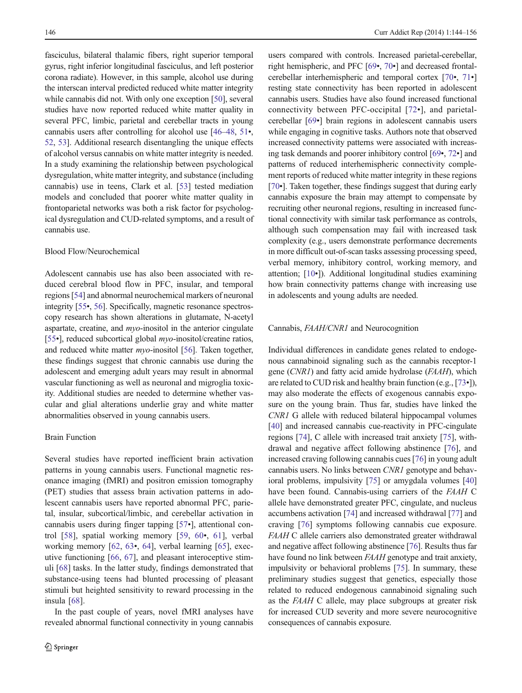fasciculus, bilateral thalamic fibers, right superior temporal gyrus, right inferior longitudinal fasciculus, and left posterior corona radiate). However, in this sample, alcohol use during the interscan interval predicted reduced white matter integrity while cannabis did not. With only one exception [\[50\]](#page-10-0), several studies have now reported reduced white matter quality in several PFC, limbic, parietal and cerebellar tracts in young cannabis users after controlling for alcohol use [\[46](#page-9-0)–[48,](#page-9-0) [51](#page-10-0)•, [52,](#page-10-0) [53](#page-10-0)]. Additional research disentangling the unique effects of alcohol versus cannabis on white matter integrity is needed. In a study examining the relationship between psychological dysregulation, white matter integrity, and substance (including cannabis) use in teens, Clark et al. [[53\]](#page-10-0) tested mediation models and concluded that poorer white matter quality in frontoparietal networks was both a risk factor for psychological dysregulation and CUD-related symptoms, and a result of cannabis use.

## Blood Flow/Neurochemical

Adolescent cannabis use has also been associated with reduced cerebral blood flow in PFC, insular, and temporal regions [\[54](#page-10-0)] and abnormal neurochemical markers of neuronal integrity [\[55](#page-10-0)•, [56](#page-10-0)]. Specifically, magnetic resonance spectroscopy research has shown alterations in glutamate, N-acetyl aspartate, creatine, and  $m\nu$ -inositol in the anterior cingulate [\[55](#page-10-0)•], reduced subcortical global myo-inositol/creatine ratios, and reduced white matter myo-inositol [[56\]](#page-10-0). Taken together, these findings suggest that chronic cannabis use during the adolescent and emerging adult years may result in abnormal vascular functioning as well as neuronal and migroglia toxicity. Additional studies are needed to determine whether vascular and glial alterations underlie gray and white matter abnormalities observed in young cannabis users.

## Brain Function

Several studies have reported inefficient brain activation patterns in young cannabis users. Functional magnetic resonance imaging (fMRI) and positron emission tomography (PET) studies that assess brain activation patterns in adolescent cannabis users have reported abnormal PFC, parietal, insular, subcortical/limbic, and cerebellar activation in cannabis users during finger tapping [\[57](#page-10-0)•], attentional control [[58](#page-10-0)], spatial working memory [[59,](#page-10-0) [60](#page-10-0)•, [61](#page-10-0)], verbal working memory [\[62](#page-10-0), [63](#page-10-0)•, [64](#page-10-0)], verbal learning [[65\]](#page-10-0), executive functioning [\[66](#page-10-0), [67\]](#page-10-0), and pleasant interoceptive stimuli [\[68](#page-10-0)] tasks. In the latter study, findings demonstrated that substance-using teens had blunted processing of pleasant stimuli but heighted sensitivity to reward processing in the insula [\[68](#page-10-0)].

In the past couple of years, novel fMRI analyses have revealed abnormal functional connectivity in young cannabis

users compared with controls. Increased parietal-cerebellar, right hemispheric, and PFC [\[69](#page-10-0)•, [70](#page-10-0)•] and decreased frontalcerebellar interhemispheric and temporal cortex [[70](#page-10-0)•, [71](#page-10-0)•] resting state connectivity has been reported in adolescent cannabis users. Studies have also found increased functional connectivity between PFC-occipital [[72](#page-10-0)•], and parietalcerebellar [\[69](#page-10-0)•] brain regions in adolescent cannabis users while engaging in cognitive tasks. Authors note that observed increased connectivity patterns were associated with increasing task demands and poorer inhibitory control [\[69](#page-10-0)•, [72](#page-10-0)•] and patterns of reduced interhemispheric connectivity complement reports of reduced white matter integrity in these regions [\[70](#page-10-0)•]. Taken together, these findings suggest that during early cannabis exposure the brain may attempt to compensate by recruiting other neuronal regions, resulting in increased functional connectivity with similar task performance as controls, although such compensation may fail with increased task complexity (e.g., users demonstrate performance decrements in more difficult out-of-scan tasks assessing processing speed, verbal memory, inhibitory control, working memory, and attention; [[10](#page-8-0)•]). Additional longitudinal studies examining how brain connectivity patterns change with increasing use in adolescents and young adults are needed.

## Cannabis, FAAH/CNR1 and Neurocognition

Individual differences in candidate genes related to endogenous cannabinoid signaling such as the cannabis receptor-1 gene (CNR1) and fatty acid amide hydrolase (FAAH), which are related to CUD risk and healthy brain function (e.g., [\[73](#page-10-0)•]), may also moderate the effects of exogenous cannabis exposure on the young brain. Thus far, studies have linked the CNR1 G allele with reduced bilateral hippocampal volumes [\[40](#page-9-0)] and increased cannabis cue-reactivity in PFC-cingulate regions [[74\]](#page-10-0), C allele with increased trait anxiety [\[75](#page-10-0)], withdrawal and negative affect following abstinence [\[76](#page-10-0)], and increased craving following cannabis cues [[76](#page-10-0)] in young adult cannabis users. No links between CNR1 genotype and behavioral problems, impulsivity [[75\]](#page-10-0) or amygdala volumes [\[40](#page-9-0)] have been found. Cannabis-using carriers of the FAAH C allele have demonstrated greater PFC, cingulate, and nucleus accumbens activation [\[74\]](#page-10-0) and increased withdrawal [[77\]](#page-10-0) and craving [\[76](#page-10-0)] symptoms following cannabis cue exposure. FAAH C allele carriers also demonstrated greater withdrawal and negative affect following abstinence [\[76\]](#page-10-0). Results thus far have found no link between FAAH genotype and trait anxiety, impulsivity or behavioral problems [\[75](#page-10-0)]. In summary, these preliminary studies suggest that genetics, especially those related to reduced endogenous cannabinoid signaling such as the FAAH C allele, may place subgroups at greater risk for increased CUD severity and more severe neurocognitive consequences of cannabis exposure.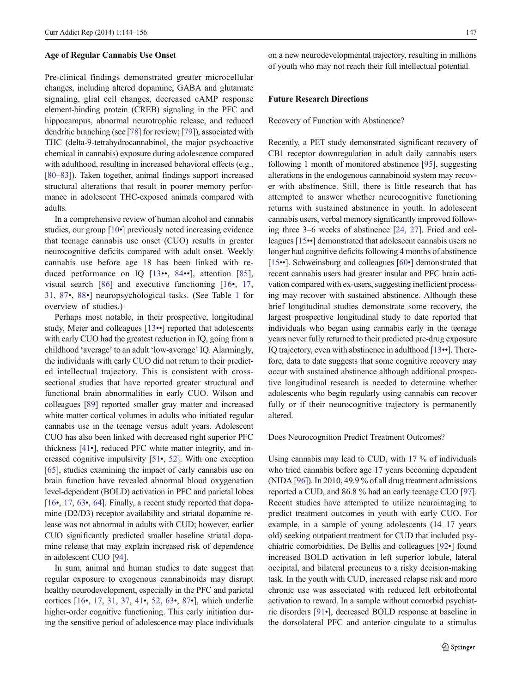#### Age of Regular Cannabis Use Onset

Pre-clinical findings demonstrated greater microcellular changes, including altered dopamine, GABA and glutamate signaling, glial cell changes, decreased cAMP response element-binding protein (CREB) signaling in the PFC and hippocampus, abnormal neurotrophic release, and reduced dendritic branching (see [\[78](#page-10-0)] for review; [\[79\]](#page-10-0)), associated with THC (delta-9-tetrahydrocannabinol, the major psychoactive chemical in cannabis) exposure during adolescence compared with adulthood, resulting in increased behavioral effects (e.g., [\[80](#page-11-0)–[83\]](#page-11-0)). Taken together, animal findings support increased structural alterations that result in poorer memory performance in adolescent THC-exposed animals compared with adults.

In a comprehensive review of human alcohol and cannabis studies, our group [\[10](#page-8-0)•] previously noted increasing evidence that teenage cannabis use onset (CUO) results in greater neurocognitive deficits compared with adult onset. Weekly cannabis use before age 18 has been linked with reduced performance on IQ [[13](#page-8-0)••, [84](#page-11-0)••], attention [[85](#page-11-0)], visual search [\[86\]](#page-11-0) and executive functioning [[16](#page-8-0)•, [17,](#page-8-0) [31](#page-9-0), [87](#page-11-0)•, [88](#page-11-0)•] neuropsychological tasks. (See Table [1](#page-5-0) for overview of studies.)

Perhaps most notable, in their prospective, longitudinal study, Meier and colleagues [\[13](#page-8-0)••] reported that adolescents with early CUO had the greatest reduction in IQ, going from a childhood 'average' to an adult 'low-average' IQ. Alarmingly, the individuals with early CUO did not return to their predicted intellectual trajectory. This is consistent with crosssectional studies that have reported greater structural and functional brain abnormalities in early CUO. Wilson and colleagues [\[89\]](#page-11-0) reported smaller gray matter and increased white matter cortical volumes in adults who initiated regular cannabis use in the teenage versus adult years. Adolescent CUO has also been linked with decreased right superior PFC thickness [\[41](#page-9-0)•], reduced PFC white matter integrity, and increased cognitive impulsivity [\[51](#page-10-0)•, [52](#page-10-0)]. With one exception [\[65\]](#page-10-0), studies examining the impact of early cannabis use on brain function have revealed abnormal blood oxygenation level-dependent (BOLD) activation in PFC and parietal lobes [\[16](#page-8-0)•, [17](#page-8-0), [63](#page-10-0)•, [64](#page-10-0)]. Finally, a recent study reported that dopamine (D2/D3) receptor availability and striatal dopamine release was not abnormal in adults with CUD; however, earlier CUO significantly predicted smaller baseline striatal dopamine release that may explain increased risk of dependence in adolescent CUO [\[94\]](#page-11-0).

In sum, animal and human studies to date suggest that regular exposure to exogenous cannabinoids may disrupt healthy neurodevelopment, especially in the PFC and parietal cortices [[16](#page-8-0)•, [17](#page-8-0), [31](#page-9-0), [37,](#page-9-0) [41](#page-9-0)•, [52,](#page-10-0) [63](#page-10-0)•, [87](#page-11-0)•], which underlie higher-order cognitive functioning. This early initiation during the sensitive period of adolescence may place individuals on a new neurodevelopmental trajectory, resulting in millions of youth who may not reach their full intellectual potential.

## Future Research Directions

Recovery of Function with Abstinence?

Recently, a PET study demonstrated significant recovery of CB1 receptor downregulation in adult daily cannabis users following 1 month of monitored abstinence [\[95](#page-11-0)], suggesting alterations in the endogenous cannabinoid system may recover with abstinence. Still, there is little research that has attempted to answer whether neurocognitive functioning returns with sustained abstinence in youth. In adolescent cannabis users, verbal memory significantly improved following three 3–6 weeks of abstinence [[24,](#page-9-0) [27\]](#page-9-0). Fried and colleagues [\[15](#page-8-0)••] demonstrated that adolescent cannabis users no longer had cognitive deficits following 4 months of abstinence [\[15](#page-8-0)••]. Schweinsburg and colleagues [[60](#page-10-0)•] demonstrated that recent cannabis users had greater insular and PFC brain activation compared with ex-users, suggesting inefficient processing may recover with sustained abstinence. Although these brief longitudinal studies demonstrate some recovery, the largest prospective longitudinal study to date reported that individuals who began using cannabis early in the teenage years never fully returned to their predicted pre-drug exposure IQ trajectory, even with abstinence in adulthood [[13](#page-8-0)••]. Therefore, data to date suggests that some cognitive recovery may occur with sustained abstinence although additional prospective longitudinal research is needed to determine whether adolescents who begin regularly using cannabis can recover fully or if their neurocognitive trajectory is permanently altered.

Does Neurocognition Predict Treatment Outcomes?

Using cannabis may lead to CUD, with 17 % of individuals who tried cannabis before age 17 years becoming dependent (NIDA [[96](#page-11-0)]). In 2010, 49.9 % of all drug treatment admissions reported a CUD, and 86.8 % had an early teenage CUO [[97\]](#page-11-0). Recent studies have attempted to utilize neuroimaging to predict treatment outcomes in youth with early CUO. For example, in a sample of young adolescents (14–17 years old) seeking outpatient treatment for CUD that included psychiatric comorbidities, De Bellis and colleagues [[92](#page-11-0)•] found increased BOLD activation in left superior lobule, lateral occipital, and bilateral precuneus to a risky decision-making task. In the youth with CUD, increased relapse risk and more chronic use was associated with reduced left orbitofrontal activation to reward. In a sample without comorbid psychiatric disorders [\[91](#page-11-0)•], decreased BOLD response at baseline in the dorsolateral PFC and anterior cingulate to a stimulus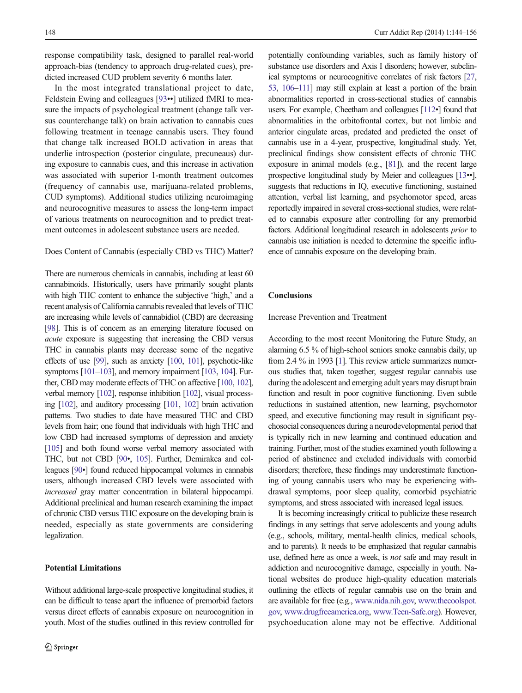response compatibility task, designed to parallel real-world approach-bias (tendency to approach drug-related cues), predicted increased CUD problem severity 6 months later.

In the most integrated translational project to date, Feldstein Ewing and colleagues [\[93](#page-11-0)••] utilized fMRI to measure the impacts of psychological treatment (change talk versus counterchange talk) on brain activation to cannabis cues following treatment in teenage cannabis users. They found that change talk increased BOLD activation in areas that underlie introspection (posterior cingulate, precuneaus) during exposure to cannabis cues, and this increase in activation was associated with superior 1-month treatment outcomes (frequency of cannabis use, marijuana-related problems, CUD symptoms). Additional studies utilizing neuroimaging and neurocognitive measures to assess the long-term impact of various treatments on neurocognition and to predict treatment outcomes in adolescent substance users are needed.

## Does Content of Cannabis (especially CBD vs THC) Matter?

There are numerous chemicals in cannabis, including at least 60 cannabinoids. Historically, users have primarily sought plants with high THC content to enhance the subjective 'high,' and a recent analysis of California cannabis revealed that levels of THC are increasing while levels of cannabidiol (CBD) are decreasing [\[98](#page-11-0)]. This is of concern as an emerging literature focused on acute exposure is suggesting that increasing the CBD versus THC in cannabis plants may decrease some of the negative effects of use [\[99\]](#page-11-0), such as anxiety [\[100,](#page-11-0) [101](#page-11-0)], psychotic-like symptoms [\[101](#page-11-0)–[103\]](#page-11-0), and memory impairment [\[103,](#page-11-0) [104\]](#page-11-0). Further, CBD may moderate effects of THC on affective [\[100](#page-11-0), [102\]](#page-11-0), verbal memory [[102\]](#page-11-0), response inhibition [\[102\]](#page-11-0), visual processing [\[102\]](#page-11-0), and auditory processing [[101,](#page-11-0) [102\]](#page-11-0) brain activation patterns. Two studies to date have measured THC and CBD levels from hair; one found that individuals with high THC and low CBD had increased symptoms of depression and anxiety [\[105](#page-11-0)] and both found worse verbal memory associated with THC, but not CBD [[90](#page-11-0)•, [105\]](#page-11-0). Further, Demirakca and colleagues [[90](#page-11-0)•] found reduced hippocampal volumes in cannabis users, although increased CBD levels were associated with increased gray matter concentration in bilateral hippocampi. Additional preclinical and human research examining the impact of chronic CBD versus THC exposure on the developing brain is needed, especially as state governments are considering legalization.

## Potential Limitations

Without additional large-scale prospective longitudinal studies, it can be difficult to tease apart the influence of premorbid factors versus direct effects of cannabis exposure on neurocognition in youth. Most of the studies outlined in this review controlled for

potentially confounding variables, such as family history of substance use disorders and Axis I disorders; however, subclinical symptoms or neurocognitive correlates of risk factors [\[27,](#page-9-0) [53,](#page-10-0) [106](#page-11-0)–[111\]](#page-12-0) may still explain at least a portion of the brain abnormalities reported in cross-sectional studies of cannabis users. For example, Cheetham and colleagues [\[112](#page-12-0)•] found that abnormalities in the orbitofrontal cortex, but not limbic and anterior cingulate areas, predated and predicted the onset of cannabis use in a 4-year, prospective, longitudinal study. Yet, preclinical findings show consistent effects of chronic THC exposure in animal models (e.g., [\[81\]](#page-11-0)), and the recent large prospective longitudinal study by Meier and colleagues [\[13](#page-8-0)••], suggests that reductions in IQ, executive functioning, sustained attention, verbal list learning, and psychomotor speed, areas reportedly impaired in several cross-sectional studies, were related to cannabis exposure after controlling for any premorbid factors. Additional longitudinal research in adolescents prior to cannabis use initiation is needed to determine the specific influence of cannabis exposure on the developing brain.

## **Conclusions**

Increase Prevention and Treatment

According to the most recent Monitoring the Future Study, an alarming 6.5 % of high-school seniors smoke cannabis daily, up from 2.4 % in 1993 [\[1\]](#page-8-0). This review article summarizes numerous studies that, taken together, suggest regular cannabis use during the adolescent and emerging adult years may disrupt brain function and result in poor cognitive functioning. Even subtle reductions in sustained attention, new learning, psychomotor speed, and executive functioning may result in significant psychosocial consequences during a neurodevelopmental period that is typically rich in new learning and continued education and training. Further, most of the studies examined youth following a period of abstinence and excluded individuals with comorbid disorders; therefore, these findings may underestimate functioning of young cannabis users who may be experiencing withdrawal symptoms, poor sleep quality, comorbid psychiatric symptoms, and stress associated with increased legal issues.

It is becoming increasingly critical to publicize these research findings in any settings that serve adolescents and young adults (e.g., schools, military, mental-health clinics, medical schools, and to parents). It needs to be emphasized that regular cannabis use, defined here as once a week, is not safe and may result in addiction and neurocognitive damage, especially in youth. National websites do produce high-quality education materials outlining the effects of regular cannabis use on the brain and are available for free (e.g., [www.nida.nih.gov,](http://www.nida.nih.gov/) [www.thecoolspot.](http://www.thecoolspot.gov/) [gov,](http://www.thecoolspot.gov/) [www.drugfreeamerica.org](http://www.drugfreeamerica.org/), [www.Teen-Safe.org\)](http://www.teen-safe.org/). However, psychoeducation alone may not be effective. Additional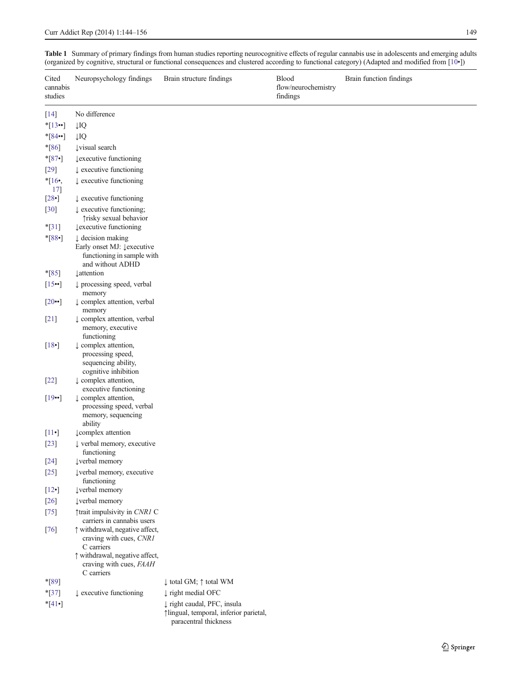| Cited<br>cannabis<br>studies | Neuropsychology findings                                                                                     | Brain structure findings                                                                                                | <b>Blood</b><br>flow/neurochemistry<br>findings | Brain function findings |
|------------------------------|--------------------------------------------------------------------------------------------------------------|-------------------------------------------------------------------------------------------------------------------------|-------------------------------------------------|-------------------------|
| $[14]$                       | No difference                                                                                                |                                                                                                                         |                                                 |                         |
| $*$ [13…]                    | $\downarrow$ IQ                                                                                              |                                                                                                                         |                                                 |                         |
| $*$ [84••]                   | $\downarrow$ IQ                                                                                              |                                                                                                                         |                                                 |                         |
| $*$ [86]                     | <b>Uvisual</b> search                                                                                        |                                                                                                                         |                                                 |                         |
| $*$ [87•]                    | <b>Lexecutive functioning</b>                                                                                |                                                                                                                         |                                                 |                         |
| $[29]$                       | $\downarrow$ executive functioning                                                                           |                                                                                                                         |                                                 |                         |
| $*16,$<br>17]                | $\downarrow$ executive functioning                                                                           |                                                                                                                         |                                                 |                         |
| $[28\bullet]$                | $\downarrow$ executive functioning                                                                           |                                                                                                                         |                                                 |                         |
| $[30]$                       | $\downarrow$ executive functioning;<br>Trisky sexual behavior                                                |                                                                                                                         |                                                 |                         |
| $*$ [31]                     | <b>Lexecutive functioning</b>                                                                                |                                                                                                                         |                                                 |                         |
| $*$ [88•]                    | $\downarrow$ decision making<br>Early onset MJ: Lexecutive<br>functioning in sample with<br>and without ADHD |                                                                                                                         |                                                 |                         |
| $*$ [85]                     | <b>Lattention</b>                                                                                            |                                                                                                                         |                                                 |                         |
| [15]                         | $\downarrow$ processing speed, verbal                                                                        |                                                                                                                         |                                                 |                         |
| $[20\bullet]$                | memory<br>$\downarrow$ complex attention, verbal<br>memory                                                   |                                                                                                                         |                                                 |                         |
| $[21]$                       | ↓ complex attention, verbal<br>memory, executive<br>functioning                                              |                                                                                                                         |                                                 |                         |
| $[18$ <sup>-</sup> ]         | $\downarrow$ complex attention,<br>processing speed,<br>sequencing ability,<br>cognitive inhibition          |                                                                                                                         |                                                 |                         |
| $[22]$                       | $\downarrow$ complex attention,<br>executive functioning                                                     |                                                                                                                         |                                                 |                         |
| $[19\cdot]$                  | $\downarrow$ complex attention,<br>processing speed, verbal<br>memory, sequencing<br>ability                 |                                                                                                                         |                                                 |                         |
| $[11\bullet]$                | <b>L</b> complex attention                                                                                   |                                                                                                                         |                                                 |                         |
| $[23]$                       | $\downarrow$ verbal memory, executive<br>functioning                                                         |                                                                                                                         |                                                 |                         |
| $[24]$                       | lverbal memory                                                                                               |                                                                                                                         |                                                 |                         |
| $[25]$<br>$[12\bullet]$      | Į verbal memory, executive<br>functioning<br><b>Įverbal</b> memory                                           |                                                                                                                         |                                                 |                         |
| $[26]$                       | <b>Įverbal</b> memory                                                                                        |                                                                                                                         |                                                 |                         |
| $[75]$                       | ↑trait impulsivity in CNR1 C<br>carriers in cannabis users                                                   |                                                                                                                         |                                                 |                         |
| $[76]$                       | t withdrawal, negative affect,<br>craving with cues, CNR1<br>C carriers                                      |                                                                                                                         |                                                 |                         |
|                              | ↑ withdrawal, negative affect,<br>craving with cues, FAAH<br>C carriers                                      |                                                                                                                         |                                                 |                         |
| *[89]                        |                                                                                                              | ↓ total GM; ↑ total WM                                                                                                  |                                                 |                         |
| $*$ [37]                     | $\downarrow$ executive functioning                                                                           | $\downarrow$ right medial OFC                                                                                           |                                                 |                         |
| $*$ [41•]                    |                                                                                                              | ↓ right caudal, PFC, insula<br><i><u><sup>1</sup>lingual, temporal, inferior parietal,</u></i><br>paracentral thickness |                                                 |                         |

<span id="page-5-0"></span>Table 1 Summary of primary findings from human studies reporting neurocognitive effects of regular cannabis use in adolescents and emerging adults (organized by cognitive, structural or functional consequences and clustered according to functional category) (Adapted and modified from [\[10](#page-8-0)•])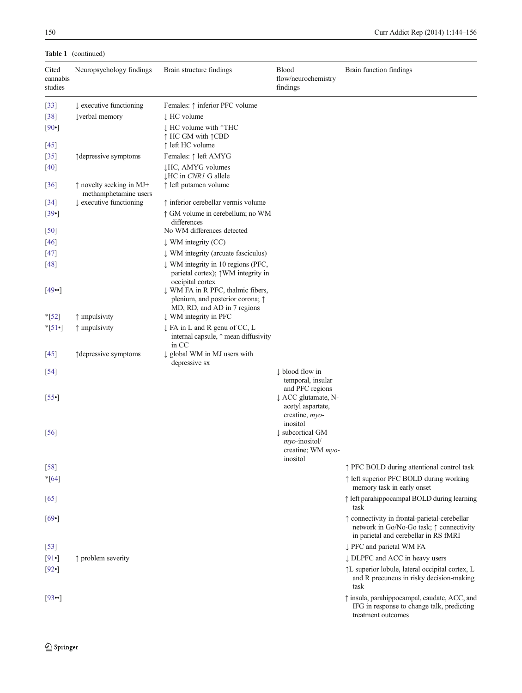## Table 1 (continued)

| Cited<br>cannabis<br>studies | Neuropsychology findings                                   | Brain structure findings                                                                                      | <b>Blood</b><br>flow/neurochemistry<br>findings                        | Brain function findings                                                                                                            |
|------------------------------|------------------------------------------------------------|---------------------------------------------------------------------------------------------------------------|------------------------------------------------------------------------|------------------------------------------------------------------------------------------------------------------------------------|
| $[33]$                       | $\downarrow$ executive functioning                         | Females: ↑ inferior PFC volume                                                                                |                                                                        |                                                                                                                                    |
| $[38]$                       | <b>Lverbal</b> memory                                      | $\downarrow$ HC volume                                                                                        |                                                                        |                                                                                                                                    |
| $[90 \bullet]$               |                                                            | $\downarrow$ HC volume with $\uparrow$ THC<br>↑ HC GM with ↑ CBD                                              |                                                                        |                                                                                                                                    |
| $[45]$                       |                                                            | ↑ left HC volume                                                                                              |                                                                        |                                                                                                                                    |
| $[35]$                       | ↑ depressive symptoms                                      | Females: ↑ left AMYG                                                                                          |                                                                        |                                                                                                                                    |
| $[40]$                       |                                                            | <b>JHC, AMYG volumes</b><br><b>JHC</b> in <i>CNR1</i> G allele                                                |                                                                        |                                                                                                                                    |
| $[36]$                       | $\uparrow$ novelty seeking in MJ+<br>methamphetamine users | ↑ left putamen volume                                                                                         |                                                                        |                                                                                                                                    |
| $[34]$                       | $\downarrow$ executive functioning                         | ↑ inferior cerebellar vermis volume                                                                           |                                                                        |                                                                                                                                    |
| $[39\bullet]$                |                                                            | ↑ GM volume in cerebellum; no WM<br>differences                                                               |                                                                        |                                                                                                                                    |
| $[50]$                       |                                                            | No WM differences detected                                                                                    |                                                                        |                                                                                                                                    |
| $[46]$                       |                                                            | $\downarrow$ WM integrity (CC)                                                                                |                                                                        |                                                                                                                                    |
| $[47]$                       |                                                            | ↓ WM integrity (arcuate fasciculus)                                                                           |                                                                        |                                                                                                                                    |
| $[48]$                       |                                                            | ↓ WM integrity in 10 regions (PFC,<br>parietal cortex); $\uparrow$ WM integrity in<br>occipital cortex        |                                                                        |                                                                                                                                    |
| $[49\bullet]$                |                                                            | ↓ WM FA in R PFC, thalmic fibers,<br>plenium, and posterior corona; $\uparrow$<br>MD, RD, and AD in 7 regions |                                                                        |                                                                                                                                    |
| $*$ [52]                     | $\uparrow$ impulsivity                                     | ↓ WM integrity in PFC                                                                                         |                                                                        |                                                                                                                                    |
| $*$ [51•]                    | $\uparrow$ impulsivity                                     | ↓ FA in L and R genu of CC, L<br>internal capsule, $\uparrow$ mean diffusivity<br>in CC                       |                                                                        |                                                                                                                                    |
| $[45]$                       | ↑ depressive symptoms                                      | ↓ global WM in MJ users with<br>depressive sx                                                                 |                                                                        |                                                                                                                                    |
| $[54]$                       |                                                            |                                                                                                               | $\downarrow$ blood flow in                                             |                                                                                                                                    |
|                              |                                                            |                                                                                                               | temporal, insular<br>and PFC regions                                   |                                                                                                                                    |
| $[55\bullet]$                |                                                            |                                                                                                               | ↓ ACC glutamate, N-<br>acetyl aspartate,                               |                                                                                                                                    |
|                              |                                                            |                                                                                                               | creatine, myo-<br>inositol                                             |                                                                                                                                    |
| $[56]$                       |                                                            |                                                                                                               | I subcortical GM<br>$m\gamma$ <i>o</i> -inositol/<br>creatine; WM myo- |                                                                                                                                    |
|                              |                                                            |                                                                                                               | inositol                                                               |                                                                                                                                    |
| [58]                         |                                                            |                                                                                                               |                                                                        | ↑ PFC BOLD during attentional control task                                                                                         |
| $*$ [64]                     |                                                            |                                                                                                               |                                                                        | ↑ left superior PFC BOLD during working<br>memory task in early onset                                                              |
| $[65]$                       |                                                            |                                                                                                               |                                                                        | ↑ left parahippocampal BOLD during learning<br>task                                                                                |
| [69]                         |                                                            |                                                                                                               |                                                                        | ↑ connectivity in frontal-parietal-cerebellar<br>network in Go/No-Go task; ↑ connectivity<br>in parietal and cerebellar in RS fMRI |
| $[53]$                       |                                                            |                                                                                                               |                                                                        | ↓ PFC and parietal WM FA                                                                                                           |
| [91                          | $\uparrow$ problem severity                                |                                                                                                               |                                                                        | ↓ DLPFC and ACC in heavy users                                                                                                     |
| $[92\bullet]$                |                                                            |                                                                                                               |                                                                        | ↑L superior lobule, lateral occipital cortex, L<br>and R precuneus in risky decision-making<br>task                                |
| $[93\bullet]$                |                                                            |                                                                                                               |                                                                        | $\uparrow$ insula, parahippocampal, caudate, ACC, and<br>IFG in response to change talk, predicting<br>treatment outcomes          |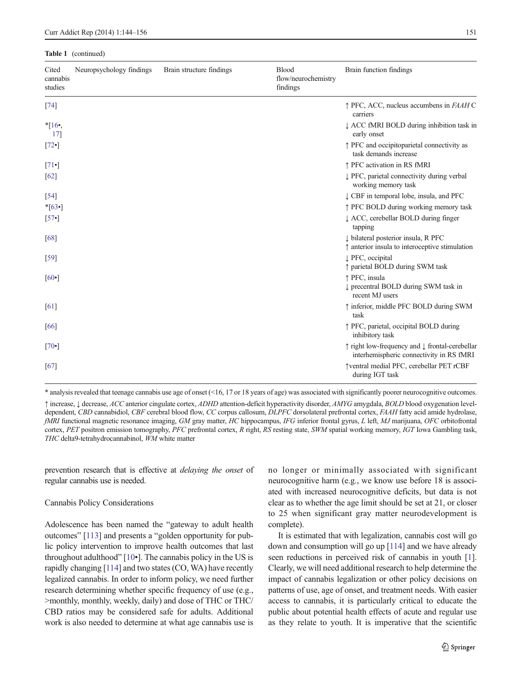#### Table 1 (continued)

| Cited<br>cannabis<br>studies | Neuropsychology findings | Brain structure findings | Blood<br>flow/neurochemistry<br>findings | Brain function findings                                                                               |
|------------------------------|--------------------------|--------------------------|------------------------------------------|-------------------------------------------------------------------------------------------------------|
| $[74]$                       |                          |                          |                                          | $\uparrow$ PFC, ACC, nucleus accumbens in <i>FAAH</i> C<br>carriers                                   |
| $*16$<br>17]                 |                          |                          |                                          | ↓ ACC fMRI BOLD during inhibition task in<br>early onset                                              |
| $[72 \bullet]$               |                          |                          |                                          | ↑ PFC and occipitoparietal connectivity as<br>task demands increase                                   |
| $\lceil 71 \cdot \rceil$     |                          |                          |                                          | ↑ PFC activation in RS fMRI                                                                           |
| [62]                         |                          |                          |                                          | ↓ PFC, parietal connectivity during verbal<br>working memory task                                     |
| $[54]$                       |                          |                          |                                          | LCBF in temporal lobe, insula, and PFC                                                                |
| $*$ [63•]                    |                          |                          |                                          | ↑ PFC BOLD during working memory task                                                                 |
| $[57 \cdot]$                 |                          |                          |                                          | ↓ ACC, cerebellar BOLD during finger<br>tapping                                                       |
| [68]                         |                          |                          |                                          | U bilateral posterior insula, R PFC<br>$\uparrow$ anterior insula to interoceptive stimulation        |
| [59]                         |                          |                          |                                          | ↓ PFC, occipital<br>↑ parietal BOLD during SWM task                                                   |
| $[60 \bullet]$               |                          |                          |                                          | ↑ PFC, insula<br>↓ precentral BOLD during SWM task in<br>recent MJ users                              |
| [61]                         |                          |                          |                                          | ↑ inferior, middle PFC BOLD during SWM<br>task                                                        |
| [66]                         |                          |                          |                                          | ↑ PFC, parietal, occipital BOLD during<br>inhibitory task                                             |
| $[70 \bullet]$               |                          |                          |                                          | ↑ right low-frequency and $\downarrow$ frontal-cerebellar<br>interhemispheric connectivity in RS fMRI |
| [67]                         |                          |                          |                                          | †ventral medial PFC, cerebellar PET rCBF<br>during IGT task                                           |

\* analysis revealed that teenage cannabis use age of onset (<16, 17 or 18 years of age) was associated with significantly poorer neurocognitive outcomes. ↑ increase, ↓ decrease, ACC anterior cingulate cortex, ADHD attention-deficit hyperactivity disorder, AMYG amygdala, BOLD blood oxygenation leveldependent, CBD cannabidiol, CBF cerebral blood flow, CC corpus callosum, DLPFC dorsolateral prefrontal cortex, FAAH fatty acid amide hydrolase, fMRI functional magnetic resonance imaging, GM gray matter, HC hippocampus, IFG inferior frontal gyrus, L left, MJ marijuana, OFC orbitofrontal cortex, PET positron emission tomography, PFC prefrontal cortex, R right, RS resting state, SWM spatial working memory, IGT Iowa Gambling task, THC delta9-tetrahydrocannabinol, WM white matter

prevention research that is effective at delaying the onset of regular cannabis use is needed.

#### Cannabis Policy Considerations

Adolescence has been named the "gateway to adult health outcomes" [\[113\]](#page-12-0) and presents a "golden opportunity for public policy intervention to improve health outcomes that last throughout adulthood" [\[10](#page-8-0)•]. The cannabis policy in the US is rapidly changing [\[114](#page-12-0)] and two states (CO, WA) have recently legalized cannabis. In order to inform policy, we need further research determining whether specific frequency of use (e.g., >monthly, monthly, weekly, daily) and dose of THC or THC/ CBD ratios may be considered safe for adults. Additional work is also needed to determine at what age cannabis use is no longer or minimally associated with significant neurocognitive harm (e.g., we know use before 18 is associated with increased neurocognitive deficits, but data is not clear as to whether the age limit should be set at 21, or closer to 25 when significant gray matter neurodevelopment is complete).

It is estimated that with legalization, cannabis cost will go down and consumption will go up [[114](#page-12-0)] and we have already seen reductions in perceived risk of cannabis in youth [[1\]](#page-8-0). Clearly, we will need additional research to help determine the impact of cannabis legalization or other policy decisions on patterns of use, age of onset, and treatment needs. With easier access to cannabis, it is particularly critical to educate the public about potential health effects of acute and regular use as they relate to youth. It is imperative that the scientific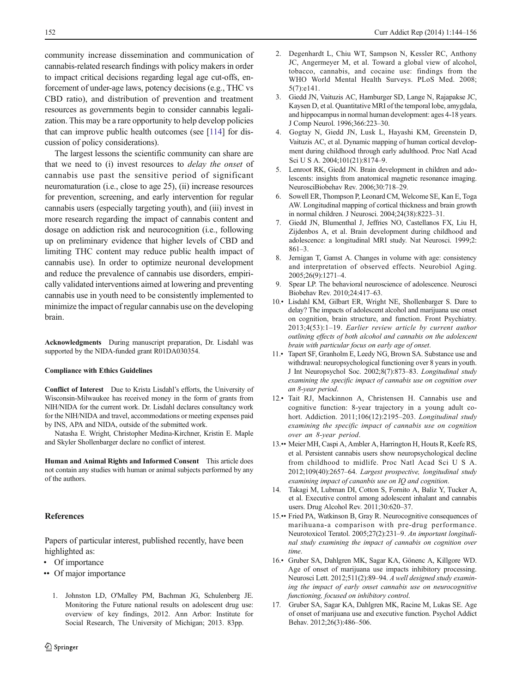<span id="page-8-0"></span>community increase dissemination and communication of cannabis-related research findings with policy makers in order to impact critical decisions regarding legal age cut-offs, enforcement of under-age laws, potency decisions (e.g., THC vs CBD ratio), and distribution of prevention and treatment resources as governments begin to consider cannabis legalization. This may be a rare opportunity to help develop policies that can improve public health outcomes (see [\[114](#page-12-0)] for discussion of policy considerations).

The largest lessons the scientific community can share are that we need to (i) invest resources to delay the onset of cannabis use past the sensitive period of significant neuromaturation (i.e., close to age 25), (ii) increase resources for prevention, screening, and early intervention for regular cannabis users (especially targeting youth), and (iii) invest in more research regarding the impact of cannabis content and dosage on addiction risk and neurocognition (i.e., following up on preliminary evidence that higher levels of CBD and limiting THC content may reduce public health impact of cannabis use). In order to optimize neuronal development and reduce the prevalence of cannabis use disorders, empirically validated interventions aimed at lowering and preventing cannabis use in youth need to be consistently implemented to minimize the impact of regular cannabis use on the developing brain.

Acknowledgments During manuscript preparation, Dr. Lisdahl was supported by the NIDA-funded grant R01DA030354.

#### Compliance with Ethics Guidelines

Conflict of Interest Due to Krista Lisdahl's efforts, the University of Wisconsin-Milwaukee has received money in the form of grants from NIH/NIDA for the current work. Dr. Lisdahl declares consultancy work for the NIH/NIDA and travel, accommodations or meeting expenses paid by INS, APA and NIDA, outside of the submitted work.

Natasha E. Wright, Christopher Medina-Kirchner, Kristin E. Maple and Skyler Shollenbarger declare no conflict of interest.

Human and Animal Rights and Informed Consent This article does not contain any studies with human or animal subjects performed by any of the authors.

## References

Papers of particular interest, published recently, have been highlighted as:

- Of importance
- •• Of major importance
	- 1. Johnston LD, O'Malley PM, Bachman JG, Schulenberg JE. Monitoring the Future national results on adolescent drug use: overview of key findings, 2012. Ann Arbor: Institute for Social Research, The University of Michigan; 2013. 83pp.
- 2. Degenhardt L, Chiu WT, Sampson N, Kessler RC, Anthony JC, Angermeyer M, et al. Toward a global view of alcohol, tobacco, cannabis, and cocaine use: findings from the WHO World Mental Health Surveys. PLoS Med. 2008; 5(7):e141.
- 3. Giedd JN, Vaituzis AC, Hamburger SD, Lange N, Rajapakse JC, Kaysen D, et al. Quantitative MRI of the temporal lobe, amygdala, and hippocampus in normal human development: ages 4-18 years. J Comp Neurol. 1996;366:223–30.
- 4. Gogtay N, Giedd JN, Lusk L, Hayashi KM, Greenstein D, Vaituzis AC, et al. Dynamic mapping of human cortical development during childhood through early adulthood. Proc Natl Acad Sci U S A. 2004;101(21):8174–9.
- 5. Lenroot RK, Giedd JN. Brain development in children and adolescents: insights from anatomical magnetic resonance imaging. NeurosciBiobehav Rev. 2006;30:718–29.
- 6. Sowell ER, Thompson P, Leonard CM, Welcome SE, Kan E, Toga AW. Longitudinal mapping of cortical thickness and brain growth in normal children. J Neurosci. 2004;24(38):8223–31.
- 7. Giedd JN, Blumenthal J, Jeffries NO, Castellanos FX, Liu H, Zijdenbos A, et al. Brain development during childhood and adolescence: a longitudinal MRI study. Nat Neurosci. 1999;2: 861–3.
- 8. Jernigan T, Gamst A. Changes in volume with age: consistency and interpretation of observed effects. Neurobiol Aging. 2005;26(9):1271–4.
- 9. Spear LP. The behavioral neuroscience of adolescence. Neurosci Biobehav Rev. 2010;24:417–63.
- 10.• Lisdahl KM, Gilbart ER, Wright NE, Shollenbarger S. Dare to delay? The impacts of adolescent alcohol and marijuana use onset on cognition, brain structure, and function. Front Psychiatry. 2013;4(53):1–19. Earlier review article by current author outlining effects of both alcohol and cannabis on the adolescent brain with particular focus on early age of onset.
- 11.• Tapert SF, Granholm E, Leedy NG, Brown SA. Substance use and withdrawal: neuropsychological functioning over 8 years in youth. J Int Neuropsychol Soc. 2002;8(7):873–83. Longitudinal study examining the specific impact of cannabis use on cognition over an 8-year period.
- 12.• Tait RJ, Mackinnon A, Christensen H. Cannabis use and cognitive function: 8-year trajectory in a young adult cohort. Addiction. 2011;106(12):2195–203. Longitudinal study examining the specific impact of cannabis use on cognition over an 8-year period.
- 13.•• Meier MH, Caspi A, Ambler A, Harrington H, Houts R, Keefe RS, et al. Persistent cannabis users show neuropsychological decline from childhood to midlife. Proc Natl Acad Sci U S A. 2012;109(40):2657–64. Largest prospective, longitudinal study examining impact of cananbis use on IQ and cognition.
- 14. Takagi M, Lubman DI, Cotton S, Fornito A, Baliz Y, Tucker A, et al. Executive control among adolescent inhalant and cannabis users. Drug Alcohol Rev. 2011;30:620–37.
- 15.•• Fried PA, Watkinson B, Gray R. Neurocognitive consequences of marihuana-a comparison with pre-drug performance. Neurotoxicol Teratol. 2005;27(2):231–9. An important longitudinal study examining the impact of cannabis on cognition over time.
- 16.• Gruber SA, Dahlgren MK, Sagar KA, Gönenc A, Killgore WD. Age of onset of marijuana use impacts inhibitory processing. Neurosci Lett. 2012;511(2):89–94. A well designed study examining the impact of early onset cannabis use on neurocognitive functioning, focused on inhibitory control.
- 17. Gruber SA, Sagar KA, Dahlgren MK, Racine M, Lukas SE. Age of onset of marijuana use and executive function. Psychol Addict Behav. 2012;26(3):486–506.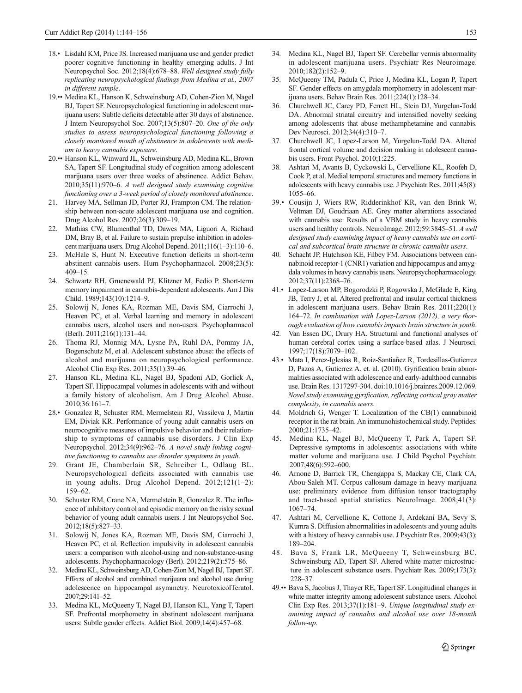- <span id="page-9-0"></span>18.• Lisdahl KM, Price JS. Increased marijuana use and gender predict poorer cognitive functioning in healthy emerging adults. J Int Neuropsychol Soc. 2012;18(4):678–88. Well designed study fully replicating neuropsychological findings from Medina et al., 2007 in different sample.
- 19.•• Medina KL, Hanson K, Schweinsburg AD, Cohen-Zion M, Nagel BJ, Tapert SF. Neuropsychological functioning in adolescent marijuana users: Subtle deficits detectable after 30 days of abstinence. J Intern Neuropsychol Soc. 2007;13(5):807–20. One of the only studies to assess neuropsychological functioning following a closely monitored month of abstinence in adolescents with medium to heavy cannabis exposure.
- 20.•• Hanson KL, Winward JL, Schweinsburg AD, Medina KL, Brown SA, Tapert SF. Longitudinal study of cognition among adolescent marijuana users over three weeks of abstinence. Addict Behav. 2010;35(11):970–6. A well designed study examining cognitive functioning over a 3-week period of closely monitored abstinence.
- 21. Harvey MA, Sellman JD, Porter RJ, Frampton CM. The relationship between non-acute adolescent marijuana use and cognition. Drug Alcohol Rev. 2007;26(3):309–19.
- 22. Mathias CW, Blumenthal TD, Dawes MA, Liguori A, Richard DM, Bray B, et al. Failure to sustain prepulse inhibition in adolescent marijuana users. Drug Alcohol Depend. 2011;116(1–3):110–6.
- 23. McHale S, Hunt N. Executive function deficits in short-term abstinent cannabis users. Hum Psychopharmacol. 2008;23(5): 409–15.
- 24. Schwartz RH, Gruenewald PJ, Klitzner M, Fedio P. Short-term memory impairment in cannabis-dependent adolescents. Am J Dis Child. 1989;143(10):1214–9.
- 25. Solowij N, Jones KA, Rozman ME, Davis SM, Ciarrochi J, Heaven PC, et al. Verbal learning and memory in adolescent cannabis users, alcohol users and non-users. Psychopharmacol (Berl). 2011;216(1):131–44.
- 26. Thoma RJ, Monnig MA, Lysne PA, Ruhl DA, Pommy JA, Bogenschutz M, et al. Adolescent substance abuse: the effects of alcohol and marijuana on neuropsychological performance. Alcohol Clin Exp Res. 2011;35(1):39–46.
- 27. Hanson KL, Medina KL, Nagel BJ, Spadoni AD, Gorlick A, Tapert SF. Hippocampal volumes in adolescents with and without a family history of alcoholism. Am J Drug Alcohol Abuse. 2010;36:161–7.
- 28.• Gonzalez R, Schuster RM, Mermelstein RJ, Vassileva J, Martin EM, Diviak KR. Performance of young adult cannabis users on neurocognitive measures of impulsive behavior and their relationship to symptoms of cannabis use disorders. J Clin Exp Neuropsychol. 2012;34(9):962–76. A novel study linking cognitive functioning to cannabis use disorder symptoms in youth.
- 29. Grant JE, Chamberlain SR, Schreiber L, Odlaug BL. Neuropsychological deficits associated with cannabis use in young adults. Drug Alcohol Depend. 2012;121(1–2): 159–62.
- 30. Schuster RM, Crane NA, Mermelstein R, Gonzalez R. The influence of inhibitory control and episodic memory on the risky sexual behavior of young adult cannabis users. J Int Neuropsychol Soc. 2012;18(5):827–33.
- 31. Solowij N, Jones KA, Rozman ME, Davis SM, Ciarrochi J, Heaven PC, et al. Reflection impulsivity in adolescent cannabis users: a comparison with alcohol-using and non-substance-using adolescents. Psychopharmacology (Berl). 2012;219(2):575–86.
- 32. Medina KL, Schweinsburg AD, Cohen-Zion M, Nagel BJ, Tapert SF. Effects of alcohol and combined marijuana and alcohol use during adolescence on hippocampal asymmetry. NeurotoxicolTeratol. 2007;29:141–52.
- 33. Medina KL, McQueeny T, Nagel BJ, Hanson KL, Yang T, Tapert SF. Prefrontal morphometry in abstinent adolescent marijuana users: Subtle gender effects. Addict Biol. 2009;14(4):457–68.
- 34. Medina KL, Nagel BJ, Tapert SF. Cerebellar vermis abnormality in adolescent marijuana users. Psychiatr Res Neuroimage. 2010;182(2):152–9.
- 35. McQueeny TM, Padula C, Price J, Medina KL, Logan P, Tapert SF. Gender effects on amygdala morphometry in adolescent marijuana users. Behav Brain Res. 2011;224(1):128–34.
- 36. Churchwell JC, Carey PD, Ferrett HL, Stein DJ, Yurgelun-Todd DA. Abnormal striatal circuitry and intensified novelty seeking among adolescents that abuse methamphetamine and cannabis. Dev Neurosci. 2012;34(4):310–7.
- 37. Churchwell JC, Lopez-Larson M, Yurgelun-Todd DA. Altered frontal cortical volume and decision making in adolescent cannabis users. Front Psychol. 2010;1:225.
- 38. Ashtari M, Avants B, Cyckowski L, Cervellione KL, Roofeh D, Cook P, et al. Medial temporal structures and memory functions in adolescents with heavy cannabis use. J Psychiatr Res. 2011;45(8): 1055–66.
- 39.• Cousijn J, Wiers RW, Ridderinkhof KR, van den Brink W, Veltman DJ, Goudriaan AE. Grey matter alterations associated with cannabis use: Results of a VBM study in heavy cannabis users and healthy controls. NeuroImage. 2012;59:3845–51. A well designed study examining impact of heavy cannabis use on cortical and subcortical brain structure in chronic cannabis users.
- 40. Schacht JP, Hutchison KE, Filbey FM. Associations between cannabinoid receptor-1 (CNR1) variation and hippocampus and amygdala volumes in heavy cannabis users. Neuropsychopharmacology. 2012;37(11):2368–76.
- 41.• Lopez-Larson MP, Bogorodzki P, Rogowska J, McGlade E, King JB, Terry J, et al. Altered prefrontal and insular cortical thickness in adolescent marijuana users. Behav Brain Res. 2011;220(1): 164–72. In combination with Lopez-Larson (2012), a very thorough evaluation of how cannabis impacts brain structure in youth.
- 42. Van Essen DC, Drury HA. Structural and functional analyses of human cerebral cortex using a surface-based atlas. J Neurosci. 1997;17(18):7079–102.
- 43.• Mata I, Perez-Iglesias R, Roiz-Santiañez R, Tordesillas-Gutierrez D, Pazos A, Gutierrez A. et. al. (2010). Gyrification brain abnormalities associated with adolescence and early-adulthood cannabis use. Brain Res. 1317297-304. doi:10.1016/j.brainres.2009.12.069. Novel study examining gyrification, reflecting cortical gray matter complexity, in cannabis users.
- 44. Moldrich G, Wenger T. Localization of the CB(1) cannabinoid receptor in the rat brain. An immunohistochemical study. Peptides. 2000;21:1735–42.
- 45. Medina KL, Nagel BJ, McQueeny T, Park A, Tapert SF. Depressive symptoms in adolescents: associations with white matter volume and marijuana use. J Child Psychol Psychiatr. 2007;48(6):592–600.
- 46. Arnone D, Barrick TR, Chengappa S, Mackay CE, Clark CA, Abou-Saleh MT. Corpus callosum damage in heavy marijuana use: preliminary evidence from diffusion tensor tractography and tract-based spatial statistics. NeuroImage. 2008;41(3): 1067–74.
- 47. Ashtari M, Cervellione K, Cottone J, Ardekani BA, Sevy S, Kumra S. Diffusion abnormalities in adolescents and young adults with a history of heavy cannabis use. J Psychiatr Res. 2009;43(3): 189–204.
- 48. Bava S, Frank LR, McQueeny T, Schweinsburg BC, Schweinsburg AD, Tapert SF. Altered white matter microstructure in adolescent substance users. Psychiatr Res. 2009;173(3): 228–37.
- 49.•• Bava S, Jacobus J, Thayer RE, Tapert SF. Longitudinal changes in white matter integrity among adolescent substance users. Alcohol Clin Exp Res. 2013;37(1):181–9. Unique longitudinal study examining impact of cannabis and alcohol use over 18-month follow-up.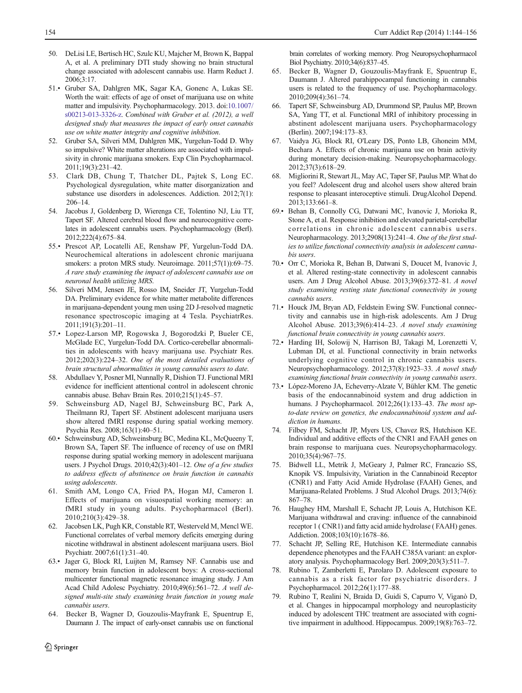- <span id="page-10-0"></span>50. DeLisi LE, Bertisch HC, Szulc KU, Majcher M, Brown K, Bappal A, et al. A preliminary DTI study showing no brain structural change associated with adolescent cannabis use. Harm Reduct J. 2006;3:17.
- 51.• Gruber SA, Dahlgren MK, Sagar KA, Gonenc A, Lukas SE. Worth the wait: effects of age of onset of marijuana use on white matter and impulsivity. Psychopharmacology. 2013. doi[:10.1007/](http://dx.doi.org/10.1007/s00213-013-3326-z) [s00213-013-3326-z](http://dx.doi.org/10.1007/s00213-013-3326-z). Combined with Gruber et al. (2012), a well designed study that measures the impact of early onset cannabis use on white matter integrity and cognitive inhibition.
- 52. Gruber SA, Silveri MM, Dahlgren MK, Yurgelun-Todd D. Why so impulsive? White matter alterations are associated with impulsivity in chronic marijuana smokers. Exp Clin Psychopharmacol. 2011;19(3):231–42.
- 53. Clark DB, Chung T, Thatcher DL, Pajtek S, Long EC. Psychological dysregulation, white matter disorganization and substance use disorders in adolescences. Addiction. 2012;7(1): 206–14.
- 54. Jacobus J, Goldenberg D, Wierenga CE, Tolentino NJ, Liu TT, Tapert SF. Altered cerebral blood flow and neurocognitive correlates in adolescent cannabis users. Psychopharmacology (Berl). 2012;222(4):675–84.
- 55.• Prescot AP, Locatelli AE, Renshaw PF, Yurgelun-Todd DA. Neurochemical alterations in adolescent chronic marijuana smokers: a proton MRS study. Neuroimage.  $2011;57(1)$ :69-75. A rare study examining the impact of adolescent cannabis use on neuronal health utilizing MRS.
- 56. Silveri MM, Jensen JE, Rosso IM, Sneider JT, Yurgelun-Todd DA. Preliminary evidence for white matter metabolite differences in marijuana-dependent young men using 2D J-resolved magnetic resonance spectroscopic imaging at 4 Tesla. PsychiatrRes. 2011;191(3):201–11.
- 57.• Lopez-Larson MP, Rogowska J, Bogorodzki P, Bueler CE, McGlade EC, Yurgelun-Todd DA. Cortico-cerebellar abnormalities in adolescents with heavy marijuana use. Psychiatr Res. 2012;202(3):224–32. One of the most detailed evaluations of brain structural abnormalities in young cannabis users to date.
- 58. Abdullaev Y, Posner MI, Nunnally R, Dishion TJ. Functional MRI evidence for inefficient attentional control in adolescent chronic cannabis abuse. Behav Brain Res. 2010;215(1):45–57.
- 59. Schweinsburg AD, Nagel BJ, Schweinsburg BC, Park A, Theilmann RJ, Tapert SF. Abstinent adolescent marijuana users show altered fMRI response during spatial working memory. Psychia Res. 2008;163(1):40–51.
- 60.• Schweinsburg AD, Schweinsburg BC, Medina KL, McQueeny T, Brown SA, Tapert SF. The influence of recency of use on fMRI response during spatial working memory in adolescent marijuana users. J Psychol Drugs. 2010;42(3):401-12. One of a few studies to address effects of abstinence on brain function in cannabis using adolescents.
- 61. Smith AM, Longo CA, Fried PA, Hogan MJ, Cameron I. Effects of marijuana on visuospatial working memory: an fMRI study in young adults. Psychopharmacol (Berl). 2010;210(3):429–38.
- 62. Jacobsen LK, Pugh KR, Constable RT, Westerveld M, Mencl WE. Functional correlates of verbal memory deficits emerging during nicotine withdrawal in abstinent adolescent marijuana users. Biol Psychiatr. 2007;61(1):31–40.
- 63.• Jager G, Block RI, Luijten M, Ramsey NF. Cannabis use and memory brain function in adolescent boys: A cross-sectional multicenter functional magnetic resonance imaging study. J Am Acad Child Adolesc Psychiatry. 2010;49(6):561–72. A well designed multi-site study examining brain function in young male cannabis users.
- 64. Becker B, Wagner D, Gouzoulis-Mayfrank E, Spuentrup E, Daumann J. The impact of early-onset cannabis use on functional

brain correlates of working memory. Prog Neuropsychopharmacol Biol Psychiatry. 2010;34(6):837–45.

- 65. Becker B, Wagner D, Gouzoulis-Mayfrank E, Spuentrup E, Daumann J. Altered parahippocampal functioning in cannabis users is related to the frequency of use. Psychopharmacology. 2010;209(4):361–74.
- 66. Tapert SF, Schweinsburg AD, Drummond SP, Paulus MP, Brown SA, Yang TT, et al. Functional MRI of inhibitory processing in abstinent adolescent marijuana users. Psychopharmacology (Berlin). 2007;194:173–83.
- Vaidya JG, Block RI, O'Leary DS, Ponto LB, Ghoneim MM, Bechara A. Effects of chronic marijuana use on brain activity during monetary decision-making. Neuropsychopharmacology. 2012;37(3):618–29.
- 68. Migliorini R, Stewart JL, May AC, Taper SF, Paulus MP. What do you feel? Adolescent drug and alcohol users show altered brain response to pleasant interoceptive stimuli. DrugAlcohol Depend. 2013;133:661–8.
- 69.• Behan B, Connolly CG, Datwani MC, Ivanovic J, Morioka R, Stone A, et al. Response inhibition and elevated parietal-cerebellar correlations in chronic adolescent cannabis users. Neuropharmacology. 2013;2908(13):241–4. One of the first studies to utilize functional connectivity analysis in adolescent cannabis users.
- 70.• Orr C, Morioka R, Behan B, Datwani S, Doucet M, Ivanovic J, et al. Altered resting-state connectivity in adolescent cannabis users. Am J Drug Alcohol Abuse. 2013;39(6):372–81. A novel study examining resting state functional connectivity in young cannabis users.
- 71.• Houck JM, Bryan AD, Feldstein Ewing SW. Functional connectivity and cannabis use in high-risk adolescents. Am J Drug Alcohol Abuse. 2013;39(6):414–23. A novel study examining functional brain connectivity in young cannabis users.
- 72.• Harding IH, Solowij N, Harrison BJ, Takagi M, Lorenzetti V, Lubman DI, et al. Functional connectivity in brain networks underlying cognitive control in chronic cannabis users. Neuropsychopharmacology. 2012;37(8):1923–33. A novel study examining functional brain connectivity in young cannabis users.
- 73.• López-Moreno JA, Echeverry-Alzate V, Bühler KM. The genetic basis of the endocannabinoid system and drug addiction in humans. J Psychopharmacol. 2012;26(1):133-43. The most upto-date review on genetics, the endocannabinoid system and addiction in humans.
- 74. Filbey FM, Schacht JP, Myers US, Chavez RS, Hutchison KE. Individual and additive effects of the CNR1 and FAAH genes on brain response to marijuana cues. Neuropsychopharmacology. 2010;35(4):967–75.
- 75. Bidwell LL, Metrik J, McGeary J, Palmer RC, Francazio SS, Knopik VS. Impulsivity, Variation in the Cannabinoid Receptor (CNR1) and Fatty Acid Amide Hydrolase (FAAH) Genes, and Marijuana-Related Problems. J Stud Alcohol Drugs. 2013;74(6): 867–78.
- 76. Haughey HM, Marshall E, Schacht JP, Louis A, Hutchison KE. Marijuana withdrawal and craving: influence of the cannabinoid receptor 1 ( CNR1) and fatty acid amide hydrolase ( FAAH) genes. Addiction. 2008;103(10):1678–86.
- 77. Schacht JP, Selling RE, Hutchison KE. Intermediate cannabis dependence phenotypes and the FAAH C385A variant: an exploratory analysis. Psychopharmacology Berl. 2009;203(3):511–7.
- Rubino T, Zamberletti E, Parolaro D. Adolescent exposure to cannabis as a risk factor for psychiatric disorders. J Psychopharmacol. 2012;26(1):177–88.
- 79. Rubino T, Realini N, Braida D, Guidi S, Capurro V, Viganò D, et al. Changes in hippocampal morphology and neuroplasticity induced by adolescent THC treatment are associated with cognitive impairment in adulthood. Hippocampus. 2009;19(8):763–72.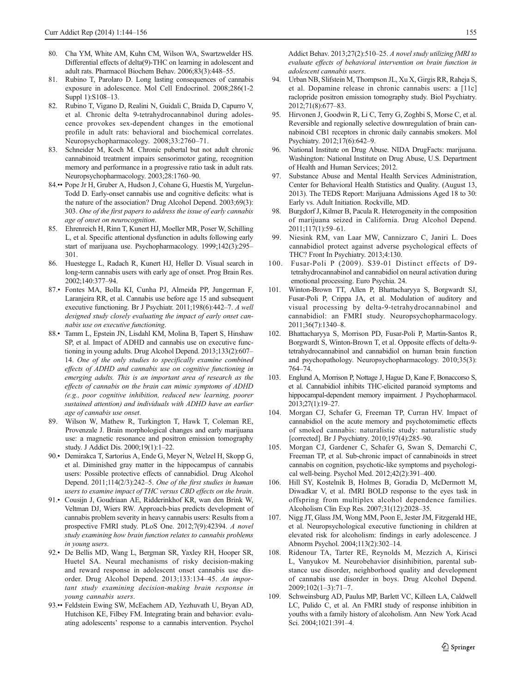- <span id="page-11-0"></span>80. Cha YM, White AM, Kuhn CM, Wilson WA, Swartzwelder HS. Differential effects of delta(9)-THC on learning in adolescent and adult rats. Pharmacol Biochem Behav. 2006;83(3):448–55.
- 81. Rubino T, Parolaro D. Long lasting consequences of cannabis exposure in adolescence. Mol Cell Endocrinol. 2008;286(1-2 Suppl 1):S108–13.
- 82. Rubino T, Vigano D, Realini N, Guidali C, Braida D, Capurro V, et al. Chronic delta 9-tetrahydrocannabinol during adolescence provokes sex-dependent changes in the emotional profile in adult rats: behavioral and biochemical correlates. Neuropsychopharmacology. 2008;33:2760–71.
- 83. Schneider M, Koch M. Chronic pubertal but not adult chronic cannabinoid treatment impairs sensorimotor gating, recognition memory and performance in a progressive ratio task in adult rats. Neuropsychopharmacology. 2003;28:1760–90.
- 84.•• Pope Jr H, Gruber A, Hudson J, Cohane G, Huestis M, Yurgelun-Todd D. Early-onset cannabis use and cognitive deficits: what is the nature of the association? Drug Alcohol Depend. 2003;69(3): 303. One of the first papers to address the issue of early cannabis age of onset on neurocognition.
- 85. Ehrenreich H, Rinn T, Kunert HJ, Moeller MR, Poser W, Schilling L, et al. Specific attentional dysfunction in adults following early start of marijuana use. Psychopharmacology. 1999;142(3):295– 301.
- 86. Huestegge L, Radach R, Kunert HJ, Heller D. Visual search in long-term cannabis users with early age of onset. Prog Brain Res. 2002;140:377–94.
- 87.• Fontes MA, Bolla KI, Cunha PJ, Almeida PP, Jungerman F, Laranieira RR, et al. Cannabis use before age 15 and subsequent executive functioning. Br J Psychiatr. 2011;198(6):442–7. A well designed study closely evaluating the impact of early onset cannabis use on executive functioning.
- 88.• Tamm L, Epstein JN, Lisdahl KM, Molina B, Tapert S, Hinshaw SP, et al. Impact of ADHD and cannabis use on executive functioning in young adults. Drug Alcohol Depend. 2013;133(2):607– 14. One of the only studies to specifically examine combined effects of ADHD and cannabis use on cognitive functioning in emerging adults. This is an important area of research as the effects of cannabis on the brain can mimic symptoms of ADHD (e.g., poor cognitive inhibition, reduced new learning, poorer sustained attention) and individuals with ADHD have an earlier age of cannabis use onset.
- 89. Wilson W, Mathew R, Turkington T, Hawk T, Coleman RE, Provenzale J. Brain morphological changes and early marijuana use: a magnetic resonance and positron emission tomography study. J Addict Dis. 2000;19(1):1–22.
- 90.• Demirakca T, Sartorius A, Ende G, Meyer N, Welzel H, Skopp G, et al. Diminished gray matter in the hippocampus of cannabis users: Possible protective effects of cannabidiol. Drug Alcohol Depend. 2011;114(2/3):242–5. One of the first studies in human users to examine impact of THC versus CBD effects on the brain.
- 91.• Cousijn J, Goudriaan AE, Ridderinkhof KR, wan den Brink W, Veltman DJ, Wiers RW. Approach-bias predicts development of cannabis problem severity in heavy cannabis users: Results from a prospective FMRI study. PLoS One. 2012;7(9):42394. A novel study examining how brain function relates to cannabis problems in young users.
- 92.• De Bellis MD, Wang L, Bergman SR, Yaxley RH, Hooper SR, Huetel SA. Neural mechanisms of risky decision-making and reward response in adolescent onset cannabis use disorder. Drug Alcohol Depend. 2013;133:134–45. An important study examining decision-making brain response in young cannabis users.
- 93.•• Feldstein Ewing SW, McEachern AD, Yezhuvath U, Bryan AD, Hutchison KE, Filbey FM. Integrating brain and behavior: evaluating adolescents' response to a cannabis intervention. Psychol

Addict Behav. 2013;27(2):510–25. A novel study utilizing fMRI to evaluate effects of behavioral intervention on brain function in adolescent cannabis users.

- 94. Urban NB, Slifstein M, Thompson JL, Xu X, Girgis RR, Raheja S, et al. Dopamine release in chronic cannabis users: a [11c] raclopride positron emission tomography study. Biol Psychiatry. 2012;71(8):677–83.
- 95. Hirvonen J, Goodwin R, Li C, Terry G, Zoghbi S, Morse C, et al. Reversible and regionally selective downregulation of brain cannabinoid CB1 receptors in chronic daily cannabis smokers. Mol Psychiatry. 2012;17(6):642–9.
- 96. National Institute on Drug Abuse. NIDA DrugFacts: marijuana. Washington: National Institute on Drug Abuse, U.S. Department of Health and Human Services; 2012.
- 97. Substance Abuse and Mental Health Services Administration, Center for Behavioral Health Statistics and Quality. (August 13, 2013). The TEDS Report: Marijuana Admissions Aged 18 to 30: Early vs. Adult Initiation. Rockville, MD.
- 98. Burgdorf J, Kilmer B, Pacula R. Heterogeneity in the composition of marijuana seized in California. Drug Alcohol Depend. 2011;117(1):59–61.
- 99. Niesink RM, van Laar MW, Cannizzaro C, Janiri L. Does cannabidiol protect against adverse psychological effects of THC? Front In Psychiatry. 2013;4:130.
- 100. Fusar-Poli P (2009). S39-01 Distinct effects of D9 tetrahydrocannabinol and cannabidiol on neural activation during emotional processing. Euro Psychia. 24.
- 101. Winton-Brown TT, Allen P, Bhattacharyya S, Borgwardt SJ, Fusar-Poli P, Crippa JA, et al. Modulation of auditory and visual processing by delta-9-tetrahydrocannabinol and cannabidiol: an FMRI study. Neuropsychopharmacology. 2011;36(7):1340–8.
- 102. Bhattacharyya S, Morrison PD, Fusar-Poli P, Martin-Santos R, Borgwardt S, Winton-Brown T, et al. Opposite effects of delta-9 tetrahydrocannabinol and cannabidiol on human brain function and psychopathology. Neuropsychopharmacology. 2010;35(3): 764–74.
- 103. Englund A, Morrison P, Nottage J, Hague D, Kane F, Bonaccorso S, et al. Cannabidiol inhibits THC-elicited paranoid symptoms and hippocampal-dependent memory impairment. J Psychopharmacol. 2013;27(1):19–27.
- 104. Morgan CJ, Schafer G, Freeman TP, Curran HV. Impact of cannabidiol on the acute memory and psychotomimetic effects of smoked cannabis: naturalistic study: naturalistic study [corrected]. Br J Psychiatry. 2010;197(4):285–90.
- 105. Morgan CJ, Gardener C, Schafer G, Swan S, Demarchi C, Freeman TP, et al. Sub-chronic impact of cannabinoids in street cannabis on cognition, psychotic-like symptoms and psychological well-being. Psychol Med. 2012;42(2):391–400.
- 106. Hill SY, Kostelnik B, Holmes B, Goradia D, McDermott M, Diwadkar V, et al. fMRI BOLD response to the eyes task in offspring from multiplex alcohol dependence families. Alcoholism Clin Exp Res. 2007;31(12):2028–35.
- 107. Nigg JT, Glass JM, Wong MM, Poon E, Jester JM, Fitzgerald HE, et al. Neuropsychological executive functioning in children at elevated risk for alcoholism: findings in early adolescence. J Abnorm Psychol. 2004;113(2):302–14.
- 108. Ridenour TA, Tarter RE, Reynolds M, Mezzich A, Kirisci L, Vanyukov M. Neurobehavior disinhibition, parental substance use disorder, neighborhood quality and development of cannabis use disorder in boys. Drug Alcohol Depend. 2009;102(1–3):71–7.
- 109. Schweinsburg AD, Paulus MP, Barlett VC, Killeen LA, Caldwell LC, Pulido C, et al. An FMRI study of response inhibition in youths with a family history of alcoholism. Ann New York Acad Sci. 2004;1021:391–4.